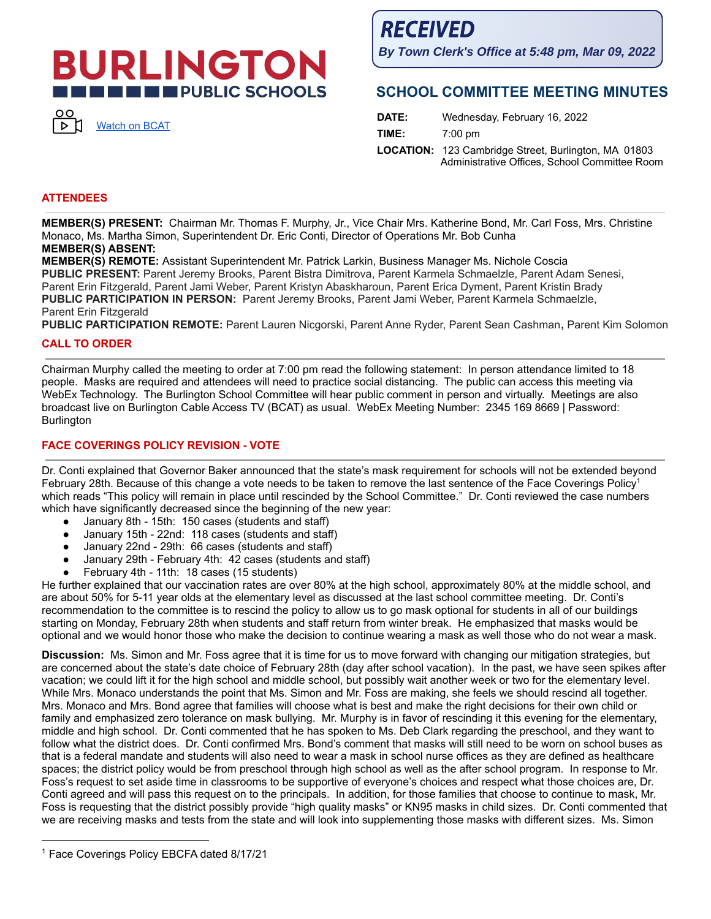# **BURLINGTON THE PUBLIC SCHOOLS**



**RECEIVED** 

**By Town Clerk's Office at 5:48 pm, Mar 09, 2022**

## **SCHOOL COMMITTEE MEETING MINUTES**

| DATE: | Wednesday, February 16, 2022                                                                                 |
|-------|--------------------------------------------------------------------------------------------------------------|
| TIME: | $7:00 \text{ pm}$                                                                                            |
|       | <b>LOCATION:</b> 123 Cambridge Street, Burlington, MA 01803<br>Administrative Offices, School Committee Room |

## **ATTENDEES**

**MEMBER(S) PRESENT:** Chairman Mr. Thomas F. Murphy, Jr., Vice Chair Mrs. Katherine Bond, Mr. Carl Foss, Mrs. Christine Monaco, Ms. Martha Simon, Superintendent Dr. Eric Conti, Director of Operations Mr. Bob Cunha **MEMBER(S) ABSENT:**

**MEMBER(S) REMOTE:** Assistant Superintendent Mr. Patrick Larkin, Business Manager Ms. Nichole Coscia **PUBLIC PRESENT:** Parent Jeremy Brooks, Parent Bistra Dimitrova, Parent Karmela Schmaelzle, Parent Adam Senesi, Parent Erin Fitzgerald, Parent Jami Weber, Parent Kristyn Abaskharoun, Parent Erica Dyment, Parent Kristin Brady **PUBLIC PARTICIPATION IN PERSON:** Parent Jeremy Brooks, Parent Jami Weber, Parent Karmela Schmaelzle, Parent Erin Fitzgerald

**PUBLIC PARTICIPATION REMOTE:** Parent Lauren Nicgorski, Parent Anne Ryder, Parent Sean Cashman**,** Parent Kim Solomon

## **CALL TO ORDER**

Chairman Murphy called the meeting to order at 7:00 pm read the following statement: In person attendance limited to 18 people. Masks are required and attendees will need to practice social distancing. The public can access this meeting via WebEx Technology. The Burlington School Committee will hear public comment in person and virtually. Meetings are also broadcast live on Burlington Cable Access TV (BCAT) as usual. WebEx Meeting Number: 2345 169 8669 | Password: **Burlington** 

## **FACE COVERINGS POLICY REVISION - VOTE**

Dr. Conti explained that Governor Baker announced that the state's mask requirement for schools will not be extended beyond February 28th. Because of this change a vote needs to be taken to remove the last sentence of the Face Coverings Policy<sup>1</sup> which reads "This policy will remain in place until rescinded by the School Committee." Dr. Conti reviewed the case numbers which have significantly decreased since the beginning of the new year:

- January 8th 15th: 150 cases (students and staff)
- January 15th 22nd: 118 cases (students and staff)
- January 22nd 29th: 66 cases (students and staff)
- January 29th February 4th: 42 cases (students and staff)
- February 4th 11th: 18 cases (15 students)

He further explained that our vaccination rates are over 80% at the high school, approximately 80% at the middle school, and are about 50% for 5-11 year olds at the elementary level as discussed at the last school committee meeting. Dr. Conti's recommendation to the committee is to rescind the policy to allow us to go mask optional for students in all of our buildings starting on Monday, February 28th when students and staff return from winter break. He emphasized that masks would be optional and we would honor those who make the decision to continue wearing a mask as well those who do not wear a mask.

**Discussion:** Ms. Simon and Mr. Foss agree that it is time for us to move forward with changing our mitigation strategies, but are concerned about the state's date choice of February 28th (day after school vacation). In the past, we have seen spikes after vacation; we could lift it for the high school and middle school, but possibly wait another week or two for the elementary level. While Mrs. Monaco understands the point that Ms. Simon and Mr. Foss are making, she feels we should rescind all together. Mrs. Monaco and Mrs. Bond agree that families will choose what is best and make the right decisions for their own child or family and emphasized zero tolerance on mask bullying. Mr. Murphy is in favor of rescinding it this evening for the elementary, middle and high school. Dr. Conti commented that he has spoken to Ms. Deb Clark regarding the preschool, and they want to follow what the district does. Dr. Conti confirmed Mrs. Bond's comment that masks will still need to be worn on school buses as that is a federal mandate and students will also need to wear a mask in school nurse offices as they are defined as healthcare spaces; the district policy would be from preschool through high school as well as the after school program. In response to Mr. Foss's request to set aside time in classrooms to be supportive of everyone's choices and respect what those choices are, Dr. Conti agreed and will pass this request on to the principals. In addition, for those families that choose to continue to mask, Mr. Foss is requesting that the district possibly provide "high quality masks" or KN95 masks in child sizes. Dr. Conti commented that we are receiving masks and tests from the state and will look into supplementing those masks with different sizes. Ms. Simon

<sup>&</sup>lt;sup>1</sup> Face Coverings Policy EBCFA dated 8/17/21